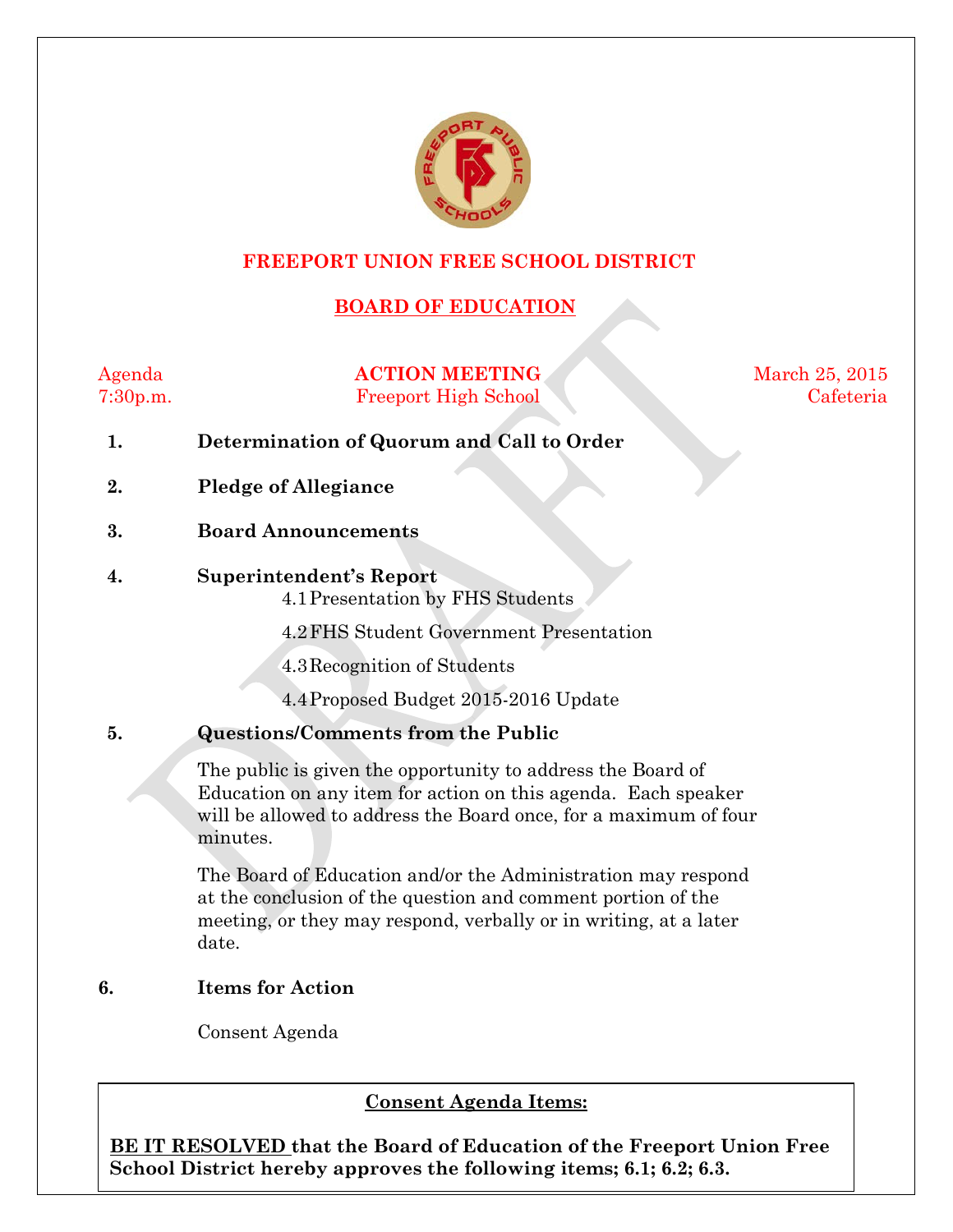

#### **FREEPORT UNION FREE SCHOOL DISTRICT**

### **BOARD OF EDUCATION**

Agenda **ACTION MEETING** March 25, 2015 7:30p.m. Freeport High School Cafeteria

- **1. Determination of Quorum and Call to Order**
- **2. Pledge of Allegiance**
- **3. Board Announcements**
- **4. Superintendent's Report**

4.1Presentation by FHS Students

4.2FHS Student Government Presentation

4.3Recognition of Students

4.4Proposed Budget 2015-2016 Update

#### **5. Questions/Comments from the Public**

The public is given the opportunity to address the Board of Education on any item for action on this agenda. Each speaker will be allowed to address the Board once, for a maximum of four minutes.

The Board of Education and/or the Administration may respond at the conclusion of the question and comment portion of the meeting, or they may respond, verbally or in writing, at a later date.

#### **6. Items for Action**

Consent Agenda

#### $$

**BE IT RESOLVED that the Board of Education of the Freeport Union Free School District hereby approves the following items; 6.1; 6.2; 6.3.**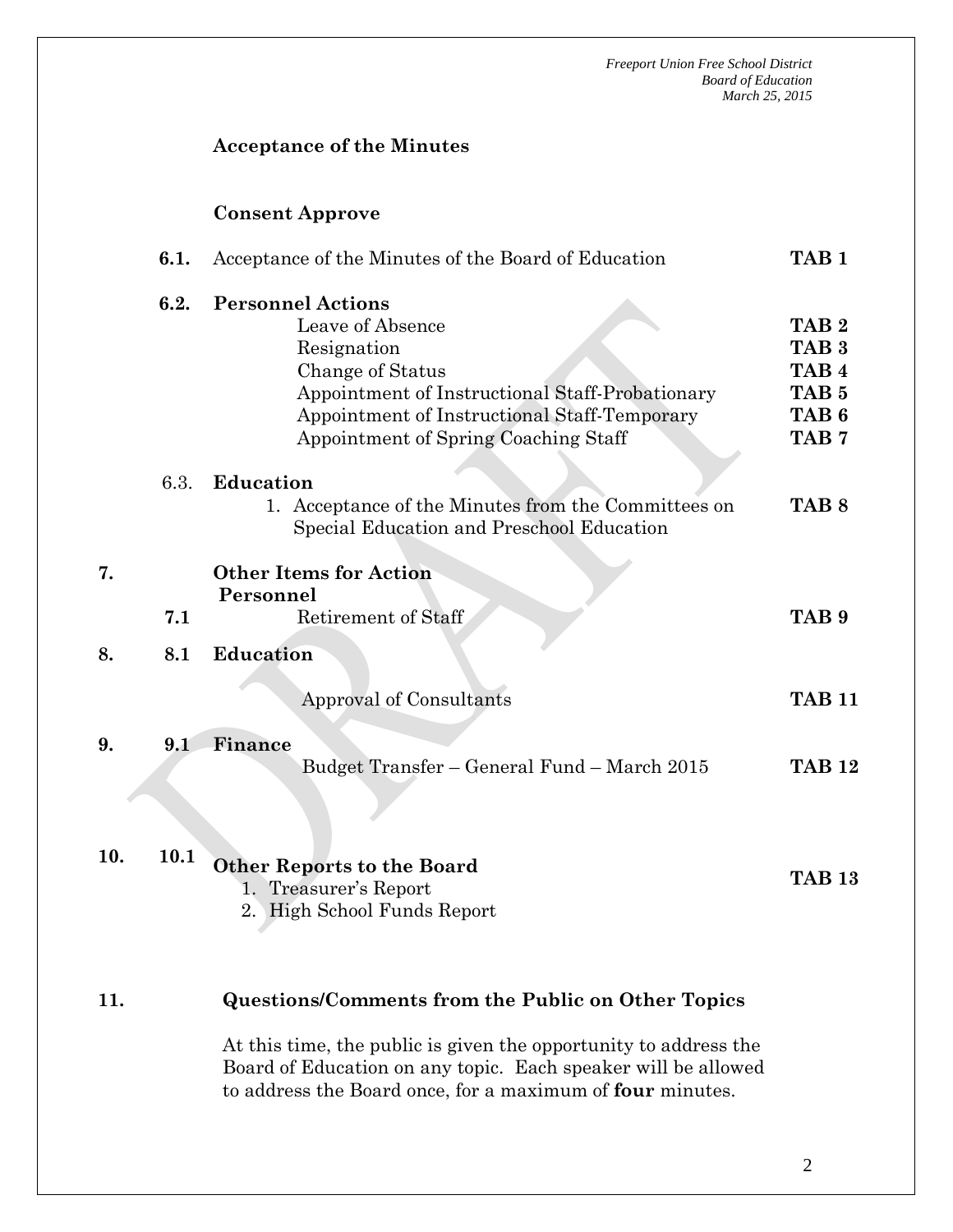#### **Acceptance of the Minutes**

#### **Consent Approve**

**7.**

|     | 6.1. | Acceptance of the Minutes of the Board of Education                                                                                                                                                                        | TAB <sub>1</sub>                                                                                                     |  |
|-----|------|----------------------------------------------------------------------------------------------------------------------------------------------------------------------------------------------------------------------------|----------------------------------------------------------------------------------------------------------------------|--|
|     | 6.2. | <b>Personnel Actions</b><br>Leave of Absence<br>Resignation<br>Change of Status<br>Appointment of Instructional Staff-Probationary<br>Appointment of Instructional Staff-Temporary<br>Appointment of Spring Coaching Staff | TAB <sub>2</sub><br>TAB <sub>3</sub><br>TAB <sub>4</sub><br>TAB <sub>5</sub><br>TAB <sub>6</sub><br>TAB <sub>7</sub> |  |
|     | 6.3. | <b>Education</b><br>1. Acceptance of the Minutes from the Committees on<br>Special Education and Preschool Education                                                                                                       | TAB <sub>8</sub>                                                                                                     |  |
| 7.  | 7.1  | <b>Other Items for Action</b><br>Personnel<br>Retirement of Staff                                                                                                                                                          | TAB <sub>9</sub>                                                                                                     |  |
| 8.  | 8.1  | <b>Education</b>                                                                                                                                                                                                           |                                                                                                                      |  |
|     |      | Approval of Consultants                                                                                                                                                                                                    | <b>TAB 11</b>                                                                                                        |  |
| 9.  | 9.1  | Finance<br>Budget Transfer - General Fund - March 2015                                                                                                                                                                     | <b>TAB 12</b>                                                                                                        |  |
| 10. | 10.1 | <b>Other Reports to the Board</b>                                                                                                                                                                                          | <b>TAB 13</b>                                                                                                        |  |

- 1. Treasurer's Report
- 2. High School Funds Report

#### **11. Questions/Comments from the Public on Other Topics**

At this time, the public is given the opportunity to address the Board of Education on any topic. Each speaker will be allowed to address the Board once, for a maximum of **four** minutes.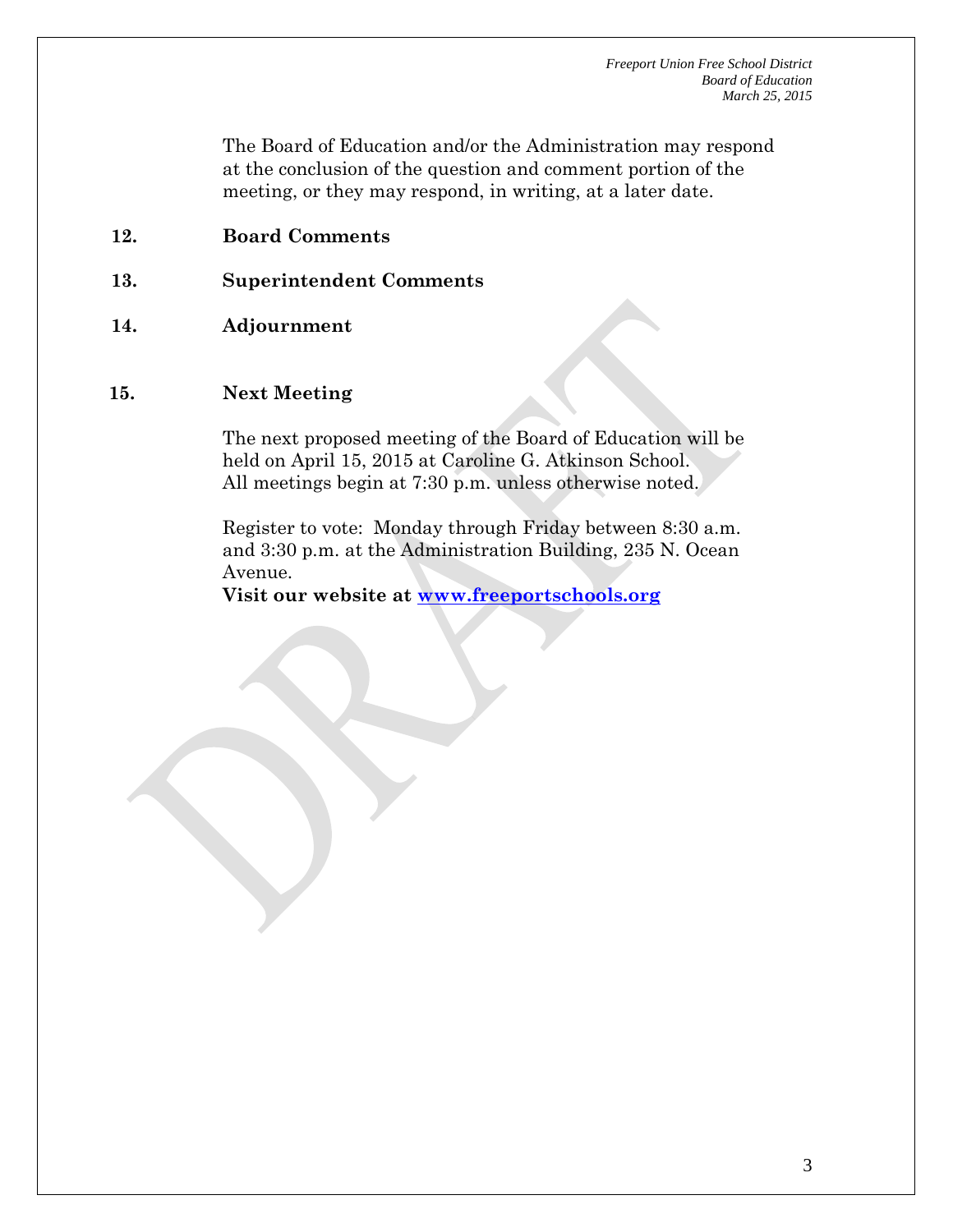The Board of Education and/or the Administration may respond at the conclusion of the question and comment portion of the meeting, or they may respond, in writing, at a later date.

- **12. Board Comments**
- **13. Superintendent Comments**
- **14. Adjournment**

#### **15. Next Meeting**

The next proposed meeting of the Board of Education will be held on April 15, 2015 at Caroline G. Atkinson School. All meetings begin at 7:30 p.m. unless otherwise noted.

Register to vote: Monday through Friday between 8:30 a.m. and 3:30 p.m. at the Administration Building, 235 N. Ocean Avenue.

**Visit our website at [www.freeportschools.org](http://www.freeportschools.org/)**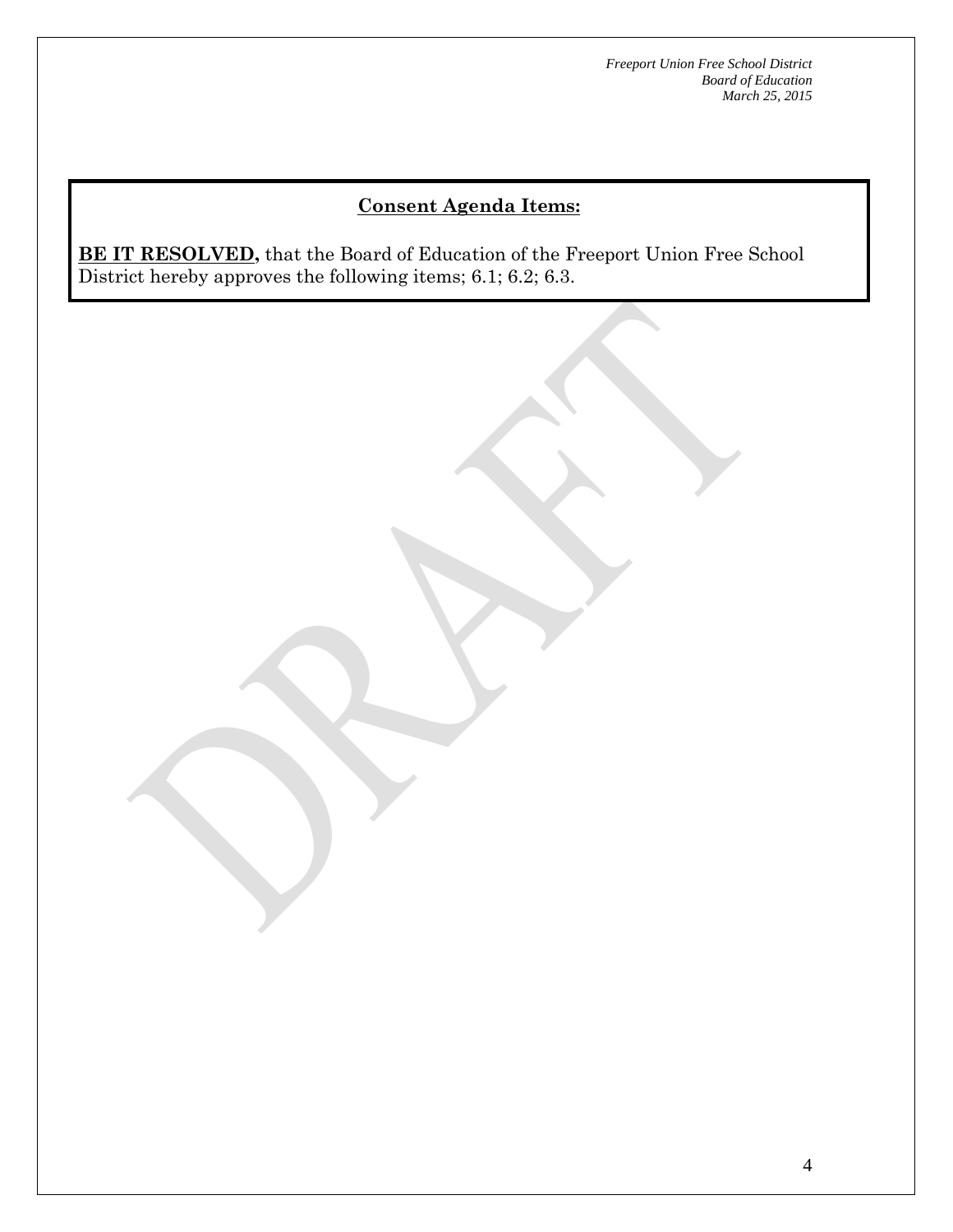# **Consent Agenda Items:**

**BE IT RESOLVED,** that the Board of Education of the Freeport Union Free School District hereby approves the following items; 6.1; 6.2; 6.3.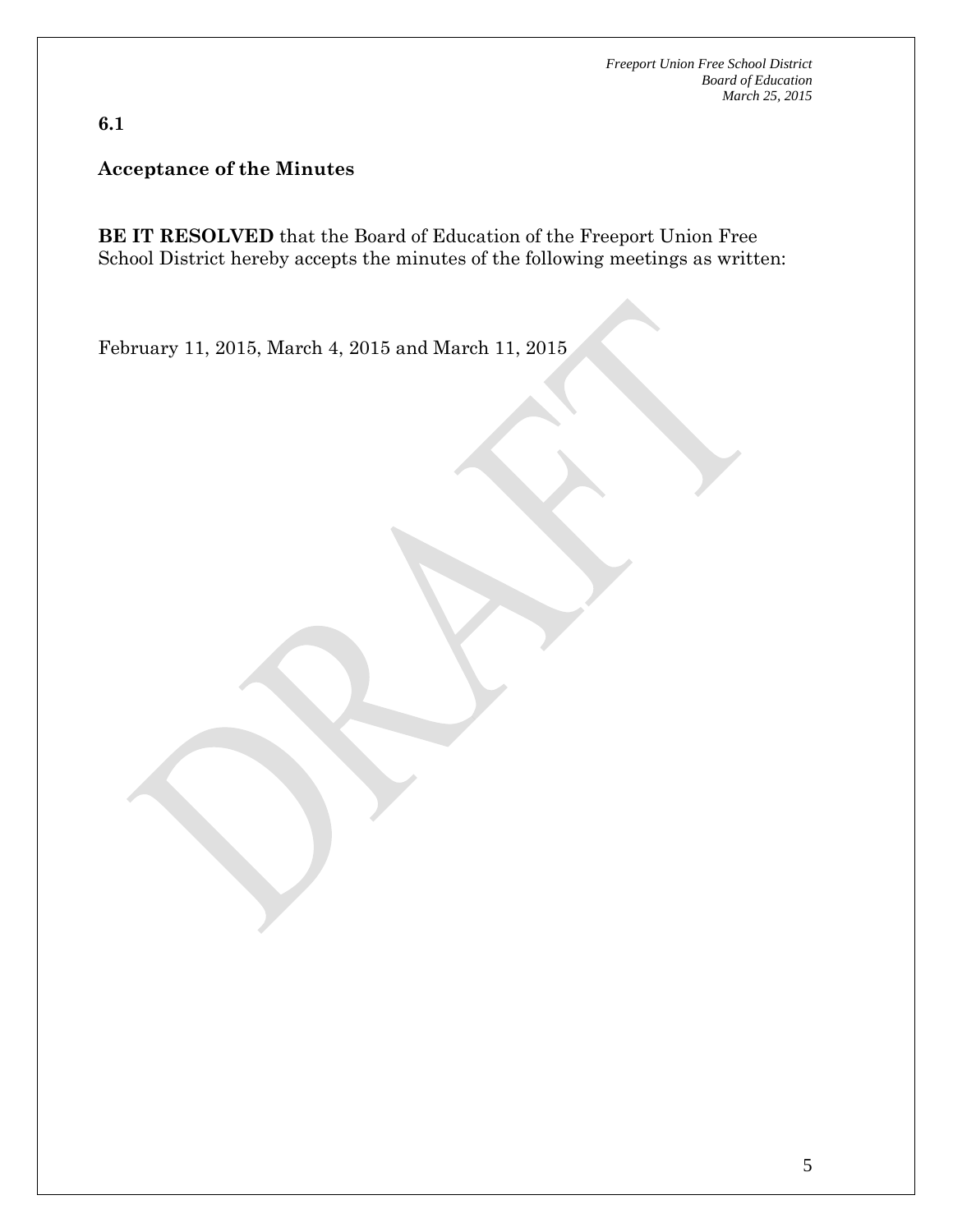**6.1**

**Acceptance of the Minutes**

**BE IT RESOLVED** that the Board of Education of the Freeport Union Free School District hereby accepts the minutes of the following meetings as written:

February 11, 2015, March 4, 2015 and March 11, 2015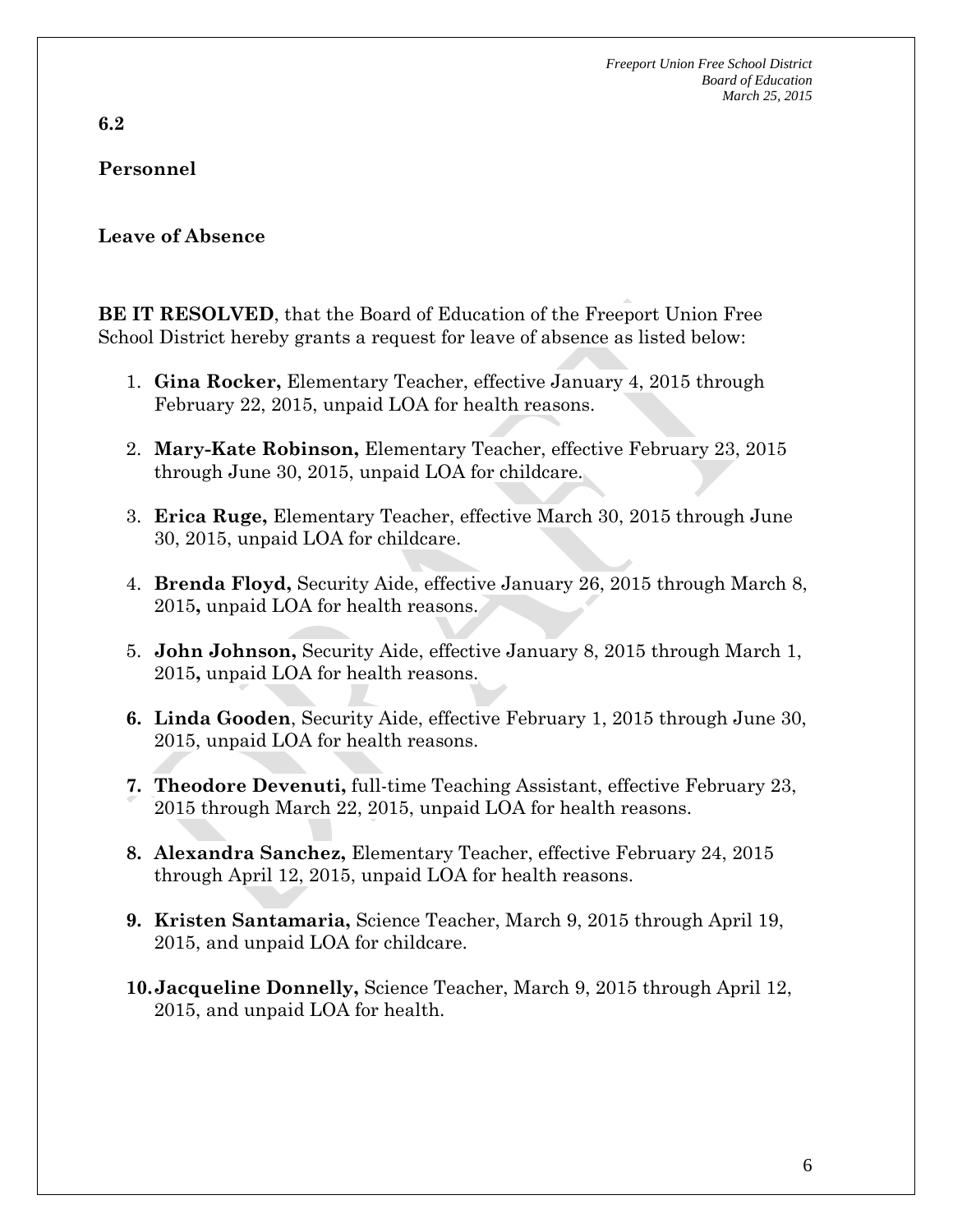**6.2** 

## **Personnel**

#### **Leave of Absence**

**BE IT RESOLVED**, that the Board of Education of the Freeport Union Free School District hereby grants a request for leave of absence as listed below:

- 1. **Gina Rocker,** Elementary Teacher, effective January 4, 2015 through February 22, 2015, unpaid LOA for health reasons.
- 2. **Mary-Kate Robinson,** Elementary Teacher, effective February 23, 2015 through June 30, 2015, unpaid LOA for childcare.
- 3. **Erica Ruge,** Elementary Teacher, effective March 30, 2015 through June 30, 2015, unpaid LOA for childcare.
- 4. **Brenda Floyd,** Security Aide, effective January 26, 2015 through March 8, 2015**,** unpaid LOA for health reasons.
- 5. **John Johnson,** Security Aide, effective January 8, 2015 through March 1, 2015**,** unpaid LOA for health reasons.
- **6. Linda Gooden**, Security Aide, effective February 1, 2015 through June 30, 2015, unpaid LOA for health reasons.
- **7. Theodore Devenuti,** full-time Teaching Assistant, effective February 23, 2015 through March 22, 2015, unpaid LOA for health reasons.
- **8. Alexandra Sanchez,** Elementary Teacher, effective February 24, 2015 through April 12, 2015, unpaid LOA for health reasons.
- **9. Kristen Santamaria,** Science Teacher, March 9, 2015 through April 19, 2015, and unpaid LOA for childcare.
- **10.Jacqueline Donnelly,** Science Teacher, March 9, 2015 through April 12, 2015, and unpaid LOA for health.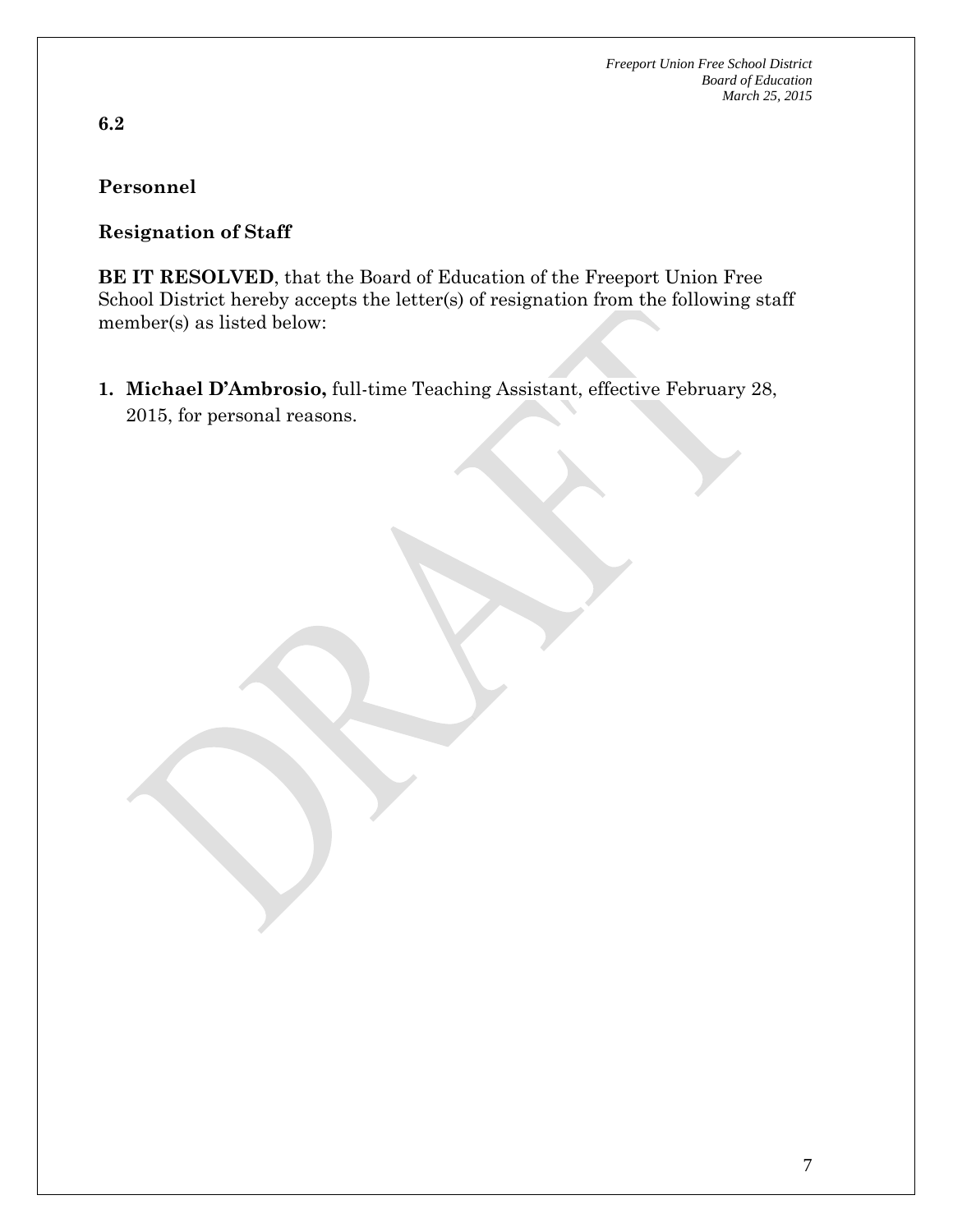**6.2**

## **Personnel**

#### **Resignation of Staff**

**BE IT RESOLVED**, that the Board of Education of the Freeport Union Free School District hereby accepts the letter(s) of resignation from the following staff member(s) as listed below:

**1. Michael D'Ambrosio,** full-time Teaching Assistant, effective February 28, 2015, for personal reasons.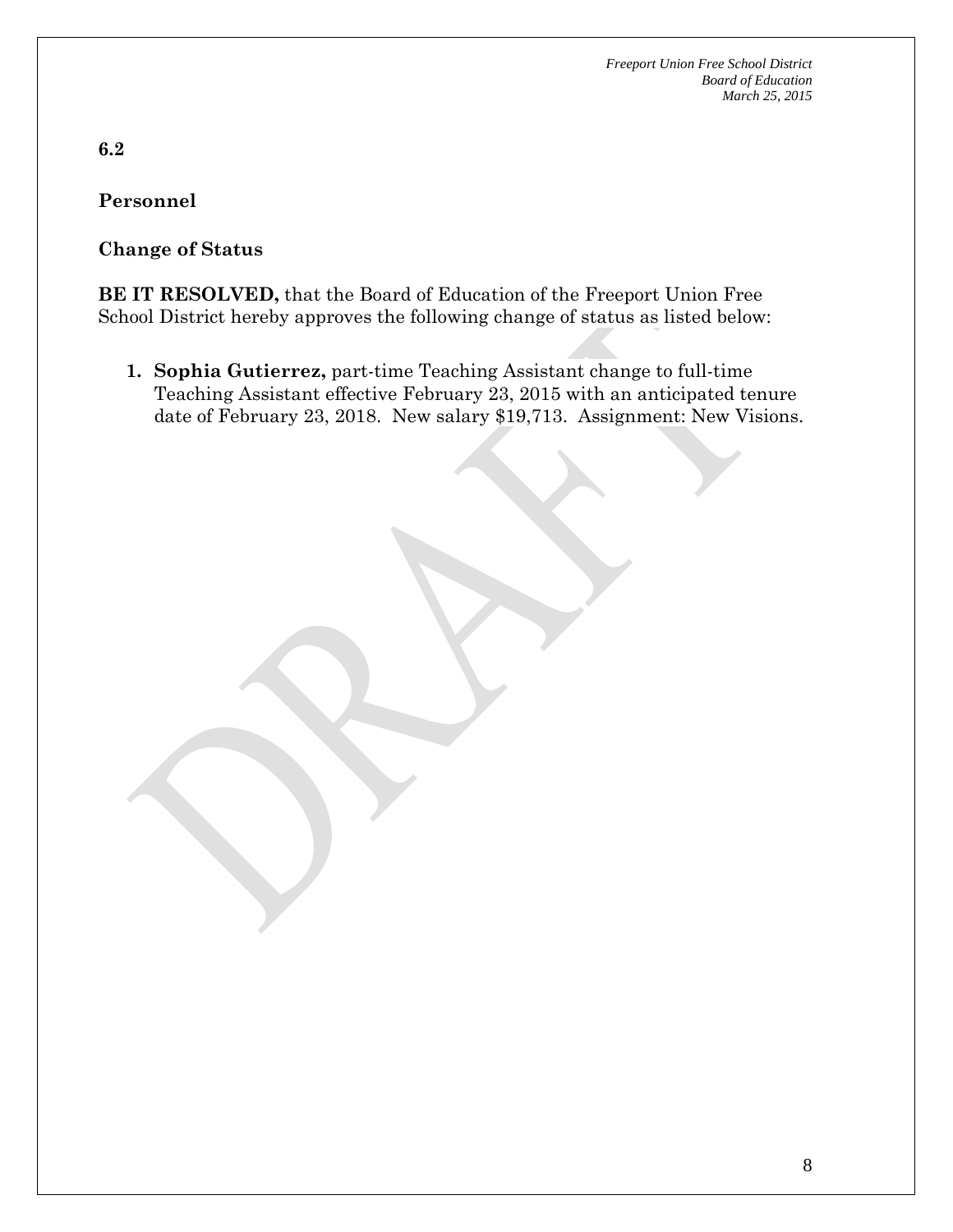**6.2**

**Personnel**

#### **Change of Status**

**BE IT RESOLVED,** that the Board of Education of the Freeport Union Free School District hereby approves the following change of status as listed below:

**1. Sophia Gutierrez,** part-time Teaching Assistant change to full-time Teaching Assistant effective February 23, 2015 with an anticipated tenure date of February 23, 2018. New salary \$19,713. Assignment: New Visions.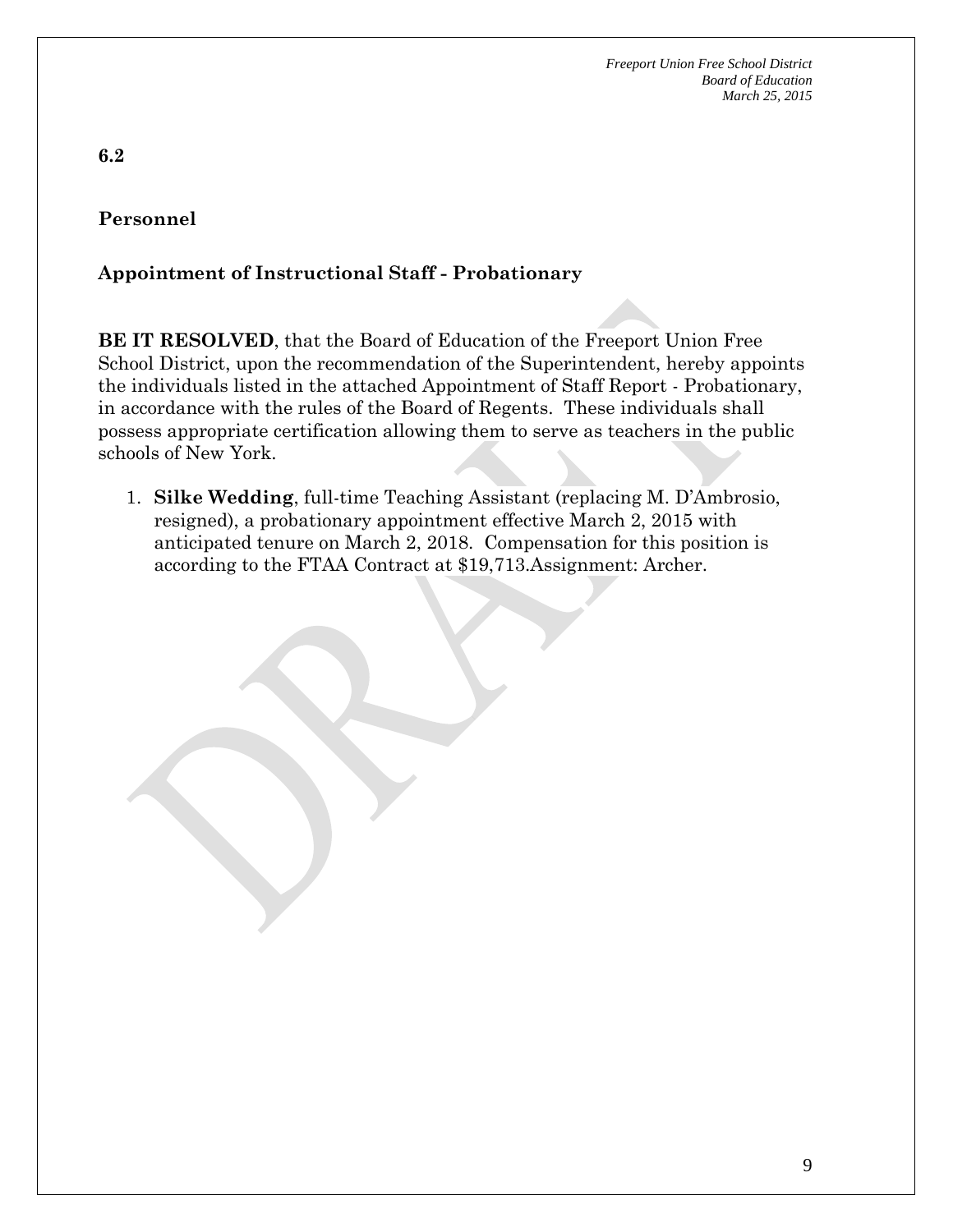# **6.2**

## **Personnel**

#### **Appointment of Instructional Staff - Probationary**

**BE IT RESOLVED**, that the Board of Education of the Freeport Union Free School District, upon the recommendation of the Superintendent, hereby appoints the individuals listed in the attached Appointment of Staff Report - Probationary, in accordance with the rules of the Board of Regents. These individuals shall possess appropriate certification allowing them to serve as teachers in the public schools of New York.

1. **Silke Wedding**, full-time Teaching Assistant (replacing M. D'Ambrosio, resigned), a probationary appointment effective March 2, 2015 with anticipated tenure on March 2, 2018. Compensation for this position is according to the FTAA Contract at \$19,713.Assignment: Archer.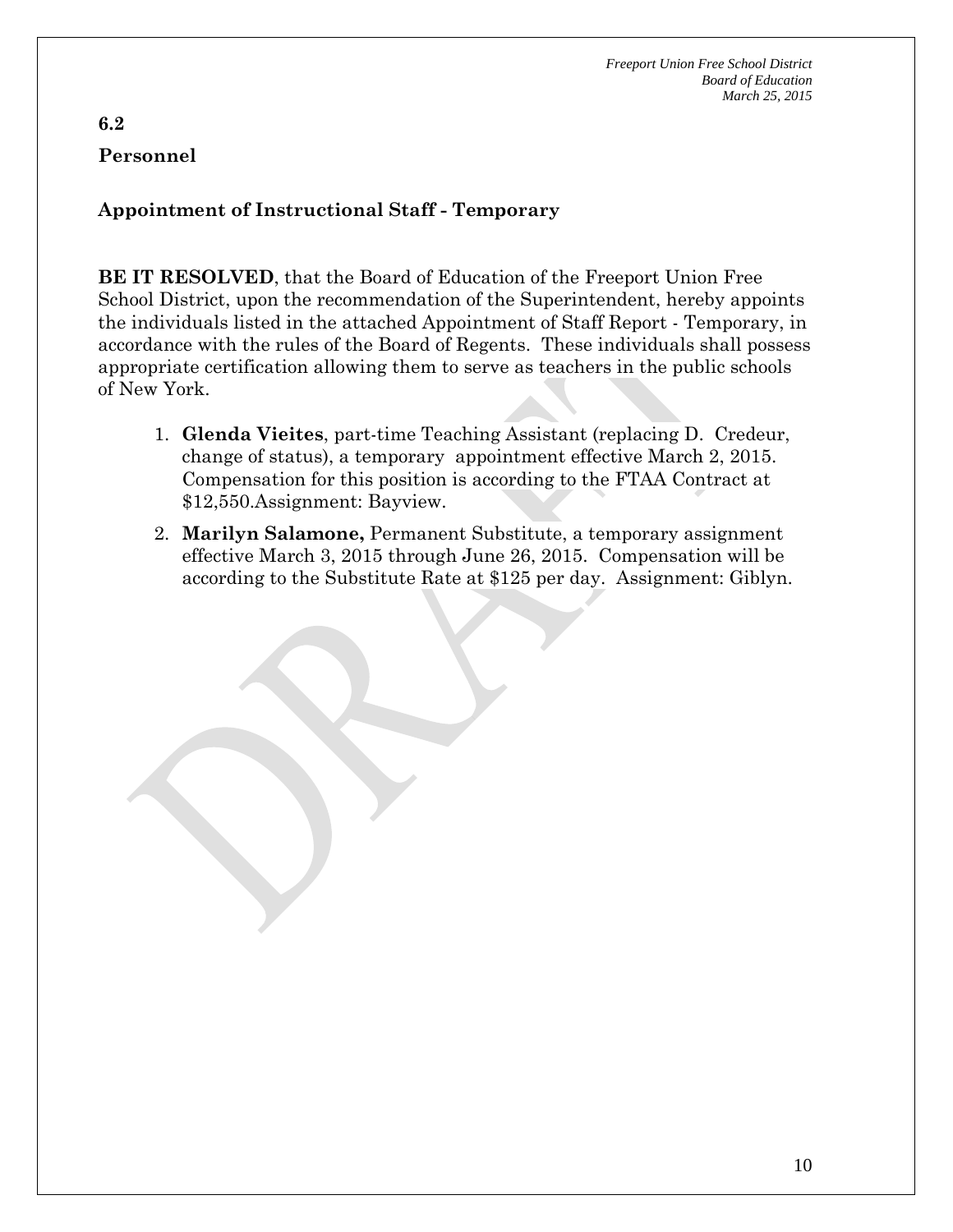#### **6.2 Personnel**

**Appointment of Instructional Staff - Temporary**

**BE IT RESOLVED**, that the Board of Education of the Freeport Union Free School District, upon the recommendation of the Superintendent, hereby appoints the individuals listed in the attached Appointment of Staff Report - Temporary, in accordance with the rules of the Board of Regents. These individuals shall possess appropriate certification allowing them to serve as teachers in the public schools of New York.

- 1. **Glenda Vieites**, part-time Teaching Assistant (replacing D. Credeur, change of status), a temporary appointment effective March 2, 2015. Compensation for this position is according to the FTAA Contract at \$12,550.Assignment: Bayview.
- 2. **Marilyn Salamone,** Permanent Substitute, a temporary assignment effective March 3, 2015 through June 26, 2015. Compensation will be according to the Substitute Rate at \$125 per day. Assignment: Giblyn.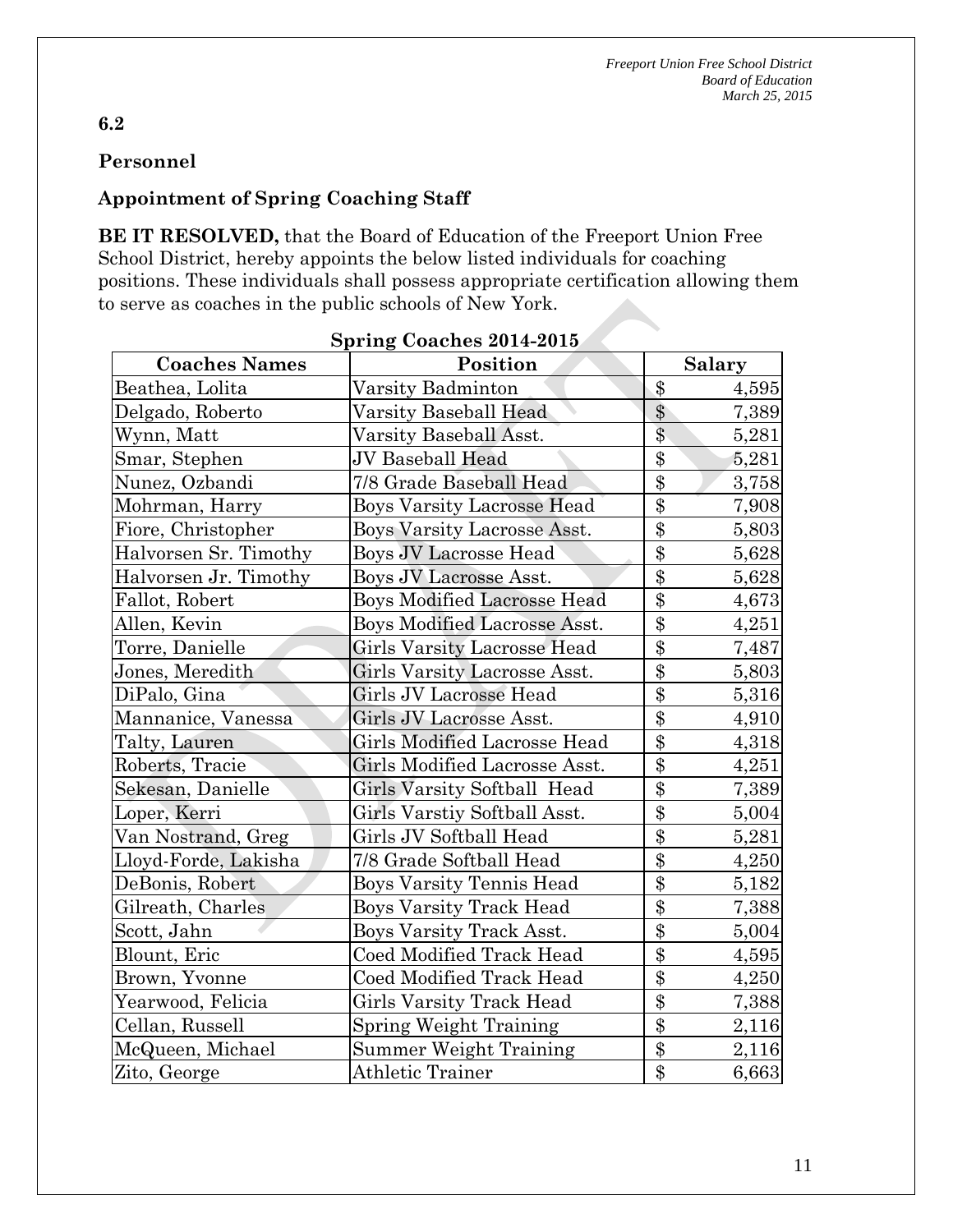# **Personnel**

### **Appointment of Spring Coaching Staff**

**BE IT RESOLVED,** that the Board of Education of the Freeport Union Free School District, hereby appoints the below listed individuals for coaching positions. These individuals shall possess appropriate certification allowing them to serve as coaches in the public schools of New York.

| <b>Coaches Names</b>  | Position                            | <b>Salary</b>            |
|-----------------------|-------------------------------------|--------------------------|
| Beathea, Lolita       | Varsity Badminton                   | $\$\$<br>4,595           |
| Delgado, Roberto      | Varsity Baseball Head               | \$<br>7,389              |
| Wynn, Matt            | Varsity Baseball Asst.              | \$<br>5,281              |
| Smar, Stephen         | JV Baseball Head                    | $\$\$<br>5,281           |
| Nunez, Ozbandi        | 7/8 Grade Baseball Head             | \$<br>3,758              |
| Mohrman, Harry        | <b>Boys Varsity Lacrosse Head</b>   | \$<br>7,908              |
| Fiore, Christopher    | <b>Boys Varsity Lacrosse Asst.</b>  | \$<br>5,803              |
| Halvorsen Sr. Timothy | Boys JV Lacrosse Head               | \$<br>5,628              |
| Halvorsen Jr. Timothy | Boys JV Lacrosse Asst.              | \$<br>5,628              |
| Fallot, Robert        | <b>Boys Modified Lacrosse Head</b>  | \$<br>4,673              |
| Allen, Kevin          | Boys Modified Lacrosse Asst.        | \$<br>4,251              |
| Torre, Danielle       | Girls Varsity Lacrosse Head         | \$<br>7,487              |
| Jones, Meredith       | Girls Varsity Lacrosse Asst.        | \$<br>5,803              |
| DiPalo, Gina          | Girls JV Lacrosse Head              | \$<br>5,316              |
| Mannanice, Vanessa    | Girls JV Lacrosse Asst.             | \$<br>4,910              |
| Talty, Lauren         | <b>Girls Modified Lacrosse Head</b> | \$<br>4,318              |
| Roberts, Tracie       | Girls Modified Lacrosse Asst.       | \$<br>4,251              |
| Sekesan, Danielle     | Girls Varsity Softball Head         | \$<br>7,389              |
| Loper, Kerri          | Girls Varstiy Softball Asst.        | \$<br>5,004              |
| Van Nostrand, Greg    | Girls JV Softball Head              | \$<br>5,281              |
| Lloyd-Forde, Lakisha  | 7/8 Grade Softball Head             | $\overline{\$}$<br>4,250 |
| DeBonis, Robert       | <b>Boys Varsity Tennis Head</b>     | \$<br>5,182              |
| Gilreath, Charles     | <b>Boys Varsity Track Head</b>      | \$<br>7,388              |
| Scott, Jahn           | Boys Varsity Track Asst.            | \$<br>5,004              |
| Blount, Eric          | Coed Modified Track Head            | \$<br>4,595              |
| Brown, Yvonne         | Coed Modified Track Head            | \$<br>4,250              |
| Yearwood, Felicia     | <b>Girls Varsity Track Head</b>     | \$<br>7,388              |
| Cellan, Russell       | Spring Weight Training              | \$<br>2,116              |
| McQueen, Michael      | Summer Weight Training              | \$<br>2,116              |
| Zito, George          | <b>Athletic Trainer</b>             | \$<br>6,663              |

# **Spring Coaches 2014-2015**

#### **6.2**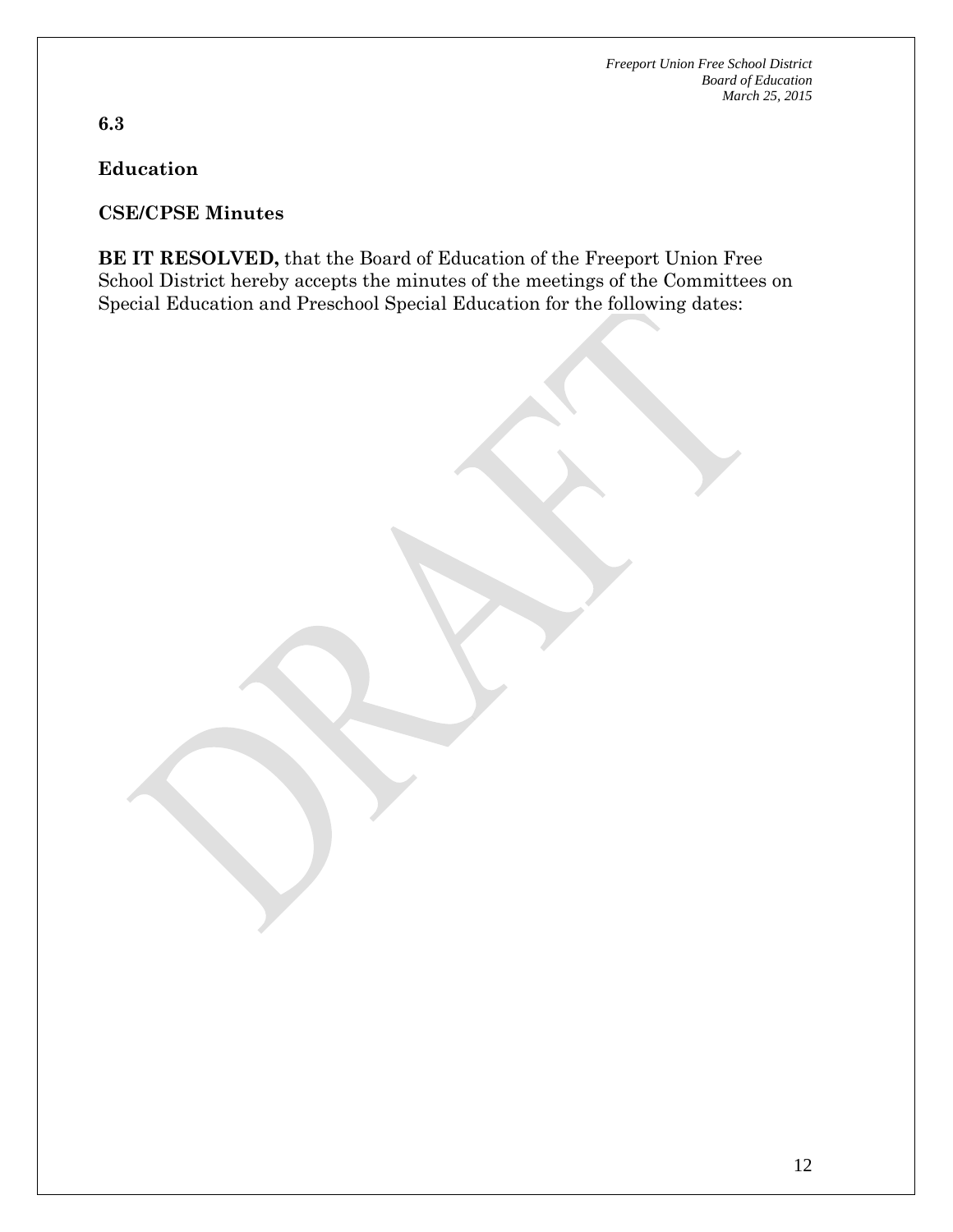**6.3**

**Education**

#### **CSE/CPSE Minutes**

**BE IT RESOLVED,** that the Board of Education of the Freeport Union Free School District hereby accepts the minutes of the meetings of the Committees on Special Education and Preschool Special Education for the following dates: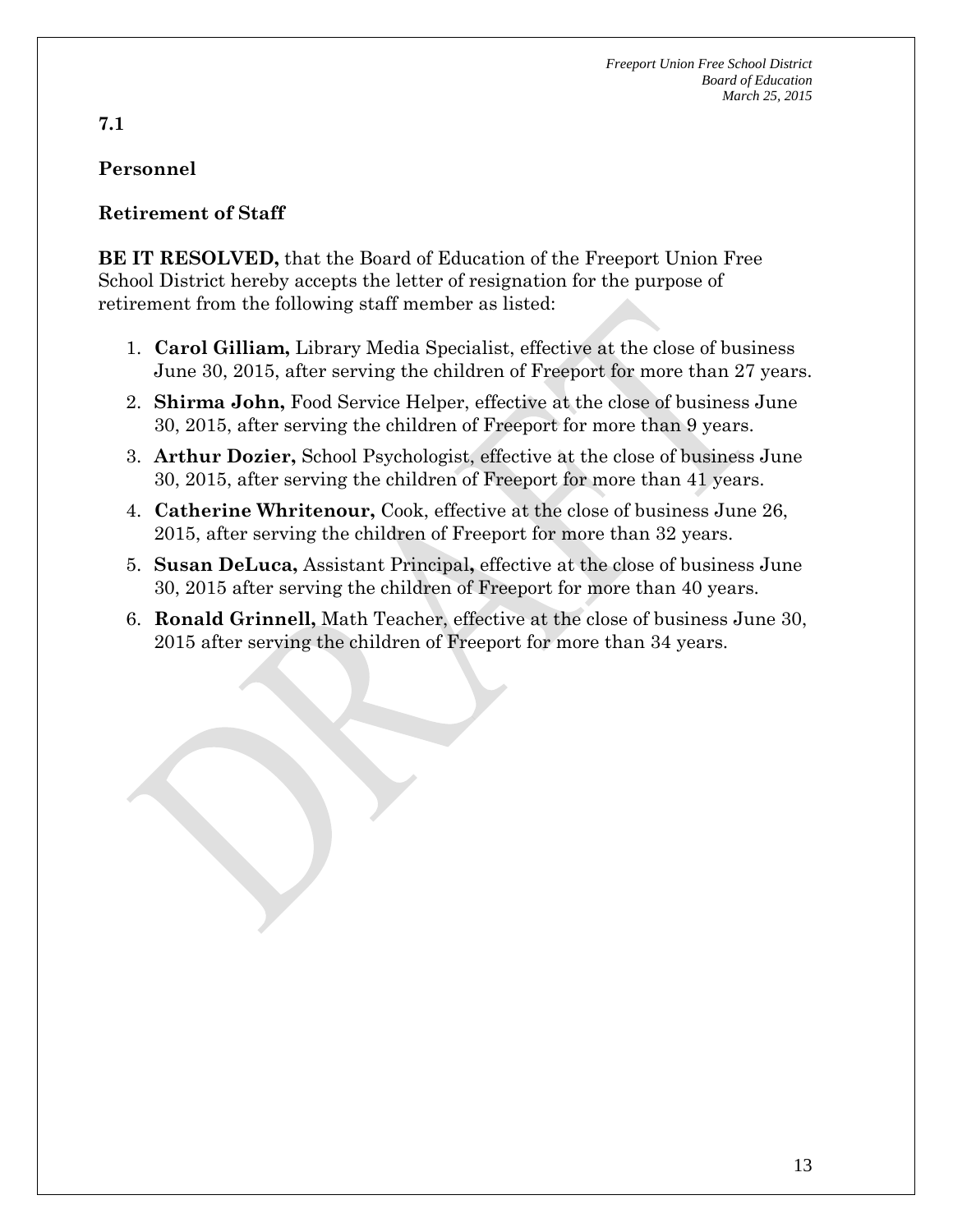# **Personnel**

### **Retirement of Staff**

**BE IT RESOLVED,** that the Board of Education of the Freeport Union Free School District hereby accepts the letter of resignation for the purpose of retirement from the following staff member as listed:

- 1. **Carol Gilliam,** Library Media Specialist, effective at the close of business June 30, 2015, after serving the children of Freeport for more than 27 years.
- 2. **Shirma John,** Food Service Helper, effective at the close of business June 30, 2015, after serving the children of Freeport for more than 9 years.
- 3. **Arthur Dozier,** School Psychologist, effective at the close of business June 30, 2015, after serving the children of Freeport for more than 41 years.
- 4. **Catherine Whritenour,** Cook, effective at the close of business June 26, 2015, after serving the children of Freeport for more than 32 years.
- 5. **Susan DeLuca,** Assistant Principal**,** effective at the close of business June 30, 2015 after serving the children of Freeport for more than 40 years.
- 6. **Ronald Grinnell,** Math Teacher, effective at the close of business June 30, 2015 after serving the children of Freeport for more than 34 years.

#### **7.1**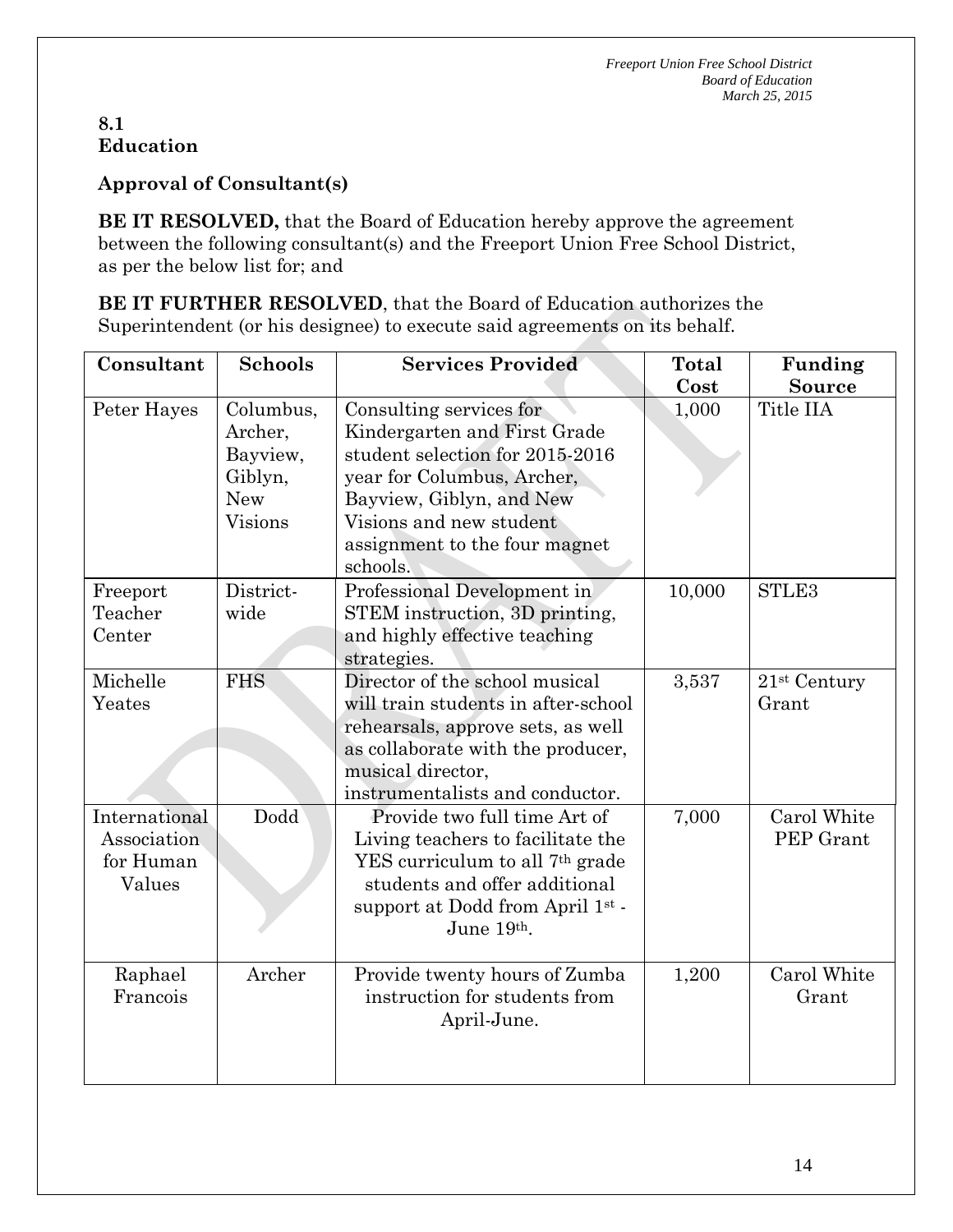#### **8.1 Education**

**Approval of Consultant(s)**

**BE IT RESOLVED,** that the Board of Education hereby approve the agreement between the following consultant(s) and the Freeport Union Free School District, as per the below list for; and

**BE IT FURTHER RESOLVED**, that the Board of Education authorizes the Superintendent (or his designee) to execute said agreements on its behalf.

| Consultant                                          | <b>Schools</b>                                                              | <b>Services Provided</b>                                                                                                                                                                                                     | <b>Total</b> | Funding                  |
|-----------------------------------------------------|-----------------------------------------------------------------------------|------------------------------------------------------------------------------------------------------------------------------------------------------------------------------------------------------------------------------|--------------|--------------------------|
|                                                     |                                                                             |                                                                                                                                                                                                                              | Cost         | <b>Source</b>            |
| Peter Hayes                                         | Columbus,<br>Archer,<br>Bayview,<br>Giblyn,<br><b>New</b><br><b>Visions</b> | Consulting services for<br>Kindergarten and First Grade<br>student selection for 2015-2016<br>year for Columbus, Archer,<br>Bayview, Giblyn, and New<br>Visions and new student<br>assignment to the four magnet<br>schools. | 1,000        | Title IIA                |
| Freeport<br>Teacher<br>Center                       | District-<br>wide                                                           | Professional Development in<br>STEM instruction, 3D printing,<br>and highly effective teaching<br>strategies.                                                                                                                | 10,000       | STLE3                    |
| Michelle<br>Yeates                                  | <b>FHS</b>                                                                  | Director of the school musical<br>will train students in after-school<br>rehearsals, approve sets, as well<br>as collaborate with the producer,<br>musical director,<br>instrumentalists and conductor.                      | 3,537        | $21st$ Century<br>Grant  |
| International<br>Association<br>for Human<br>Values | Dodd                                                                        | Provide two full time Art of<br>Living teachers to facilitate the<br>YES curriculum to all 7 <sup>th</sup> grade<br>students and offer additional<br>support at Dodd from April 1st.<br>June 19th.                           | 7,000        | Carol White<br>PEP Grant |
| Raphael<br>Francois                                 | Archer                                                                      | Provide twenty hours of Zumba<br>instruction for students from<br>April-June.                                                                                                                                                | 1,200        | Carol White<br>Grant     |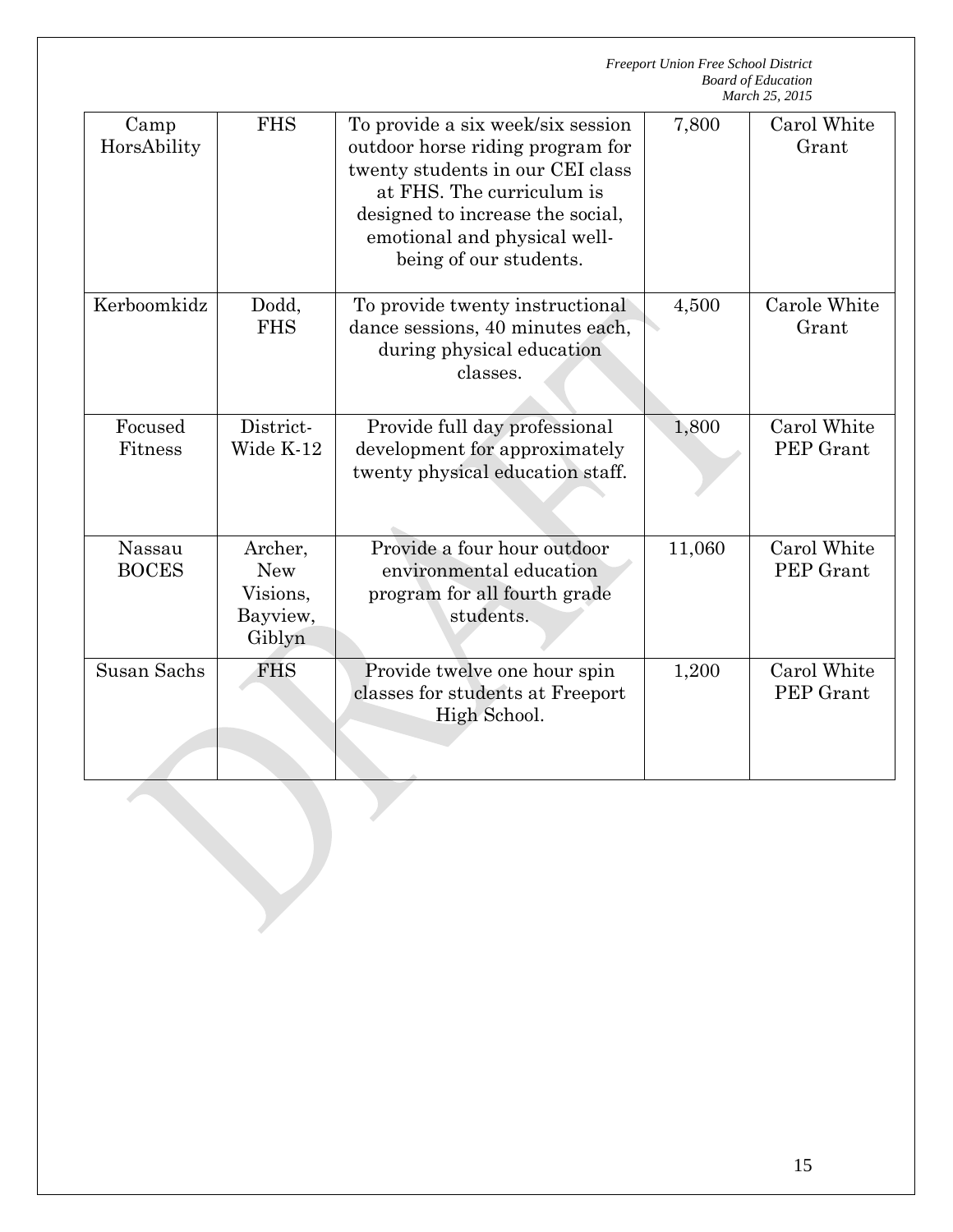|                        |                                                         | <b>Freeport Union Free School District</b><br><b>Board of Education</b><br>March 25, 2015                                                                                                                                            |        |                          |  |
|------------------------|---------------------------------------------------------|--------------------------------------------------------------------------------------------------------------------------------------------------------------------------------------------------------------------------------------|--------|--------------------------|--|
| Camp<br>HorsAbility    | <b>FHS</b>                                              | To provide a six week/six session<br>outdoor horse riding program for<br>twenty students in our CEI class<br>at FHS. The curriculum is<br>designed to increase the social,<br>emotional and physical well-<br>being of our students. | 7,800  | Carol White<br>Grant     |  |
| Kerboomkidz            | Dodd,<br><b>FHS</b>                                     | To provide twenty instructional<br>dance sessions, 40 minutes each,<br>during physical education<br>classes.                                                                                                                         | 4,500  | Carole White<br>Grant    |  |
| Focused<br>Fitness     | District-<br>Wide K-12                                  | Provide full day professional<br>development for approximately<br>twenty physical education staff.                                                                                                                                   | 1,800  | Carol White<br>PEP Grant |  |
| Nassau<br><b>BOCES</b> | Archer,<br><b>New</b><br>Visions,<br>Bayview,<br>Giblyn | Provide a four hour outdoor<br>environmental education<br>program for all fourth grade<br>students.                                                                                                                                  | 11,060 | Carol White<br>PEP Grant |  |
| Susan Sachs            | <b>FHS</b>                                              | Provide twelve one hour spin<br>classes for students at Freeport<br>High School.                                                                                                                                                     | 1,200  | Carol White<br>PEP Grant |  |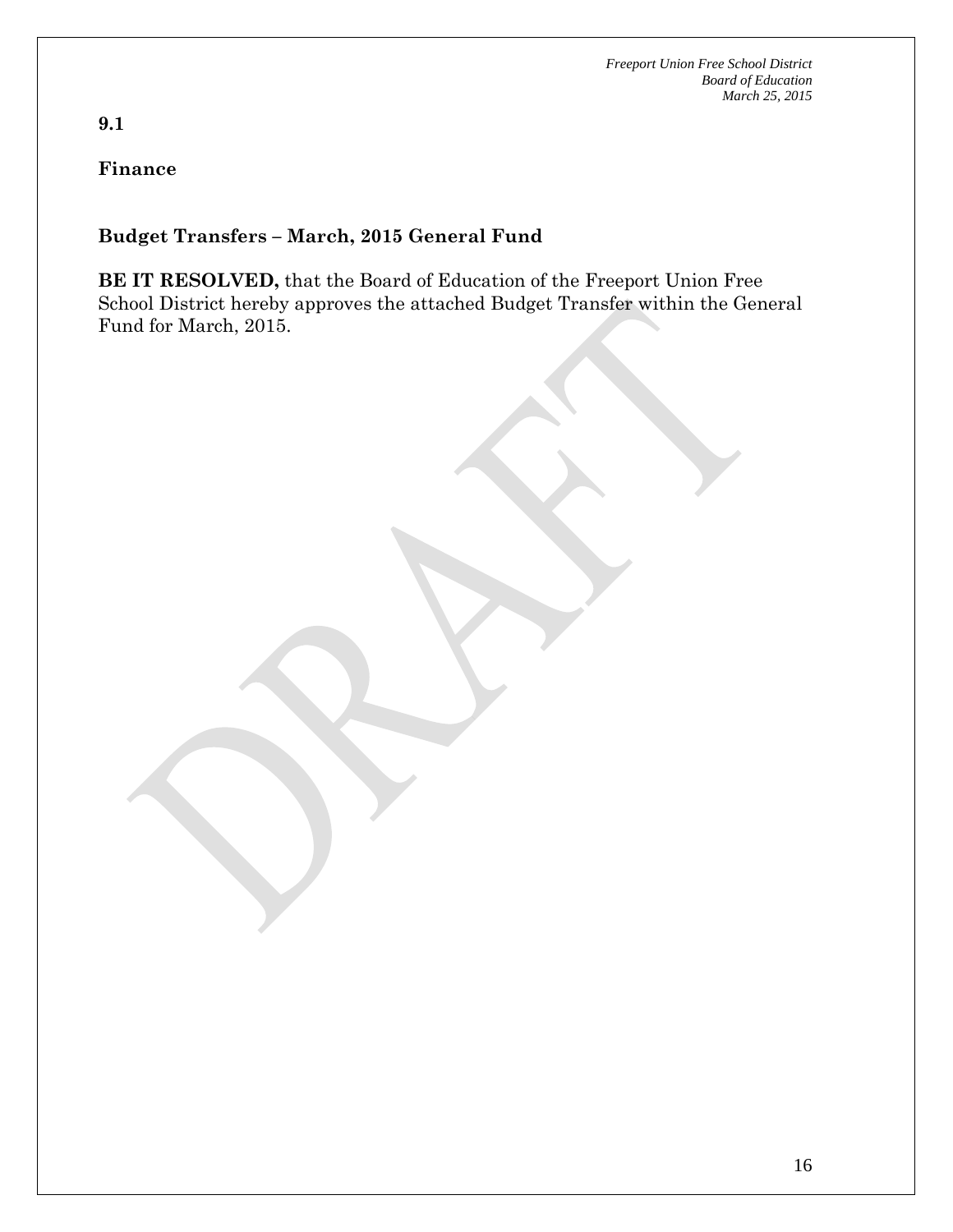# **Finance**

**9.1**

### **Budget Transfers – March, 2015 General Fund**

**BE IT RESOLVED,** that the Board of Education of the Freeport Union Free School District hereby approves the attached Budget Transfer within the General Fund for March, 2015.